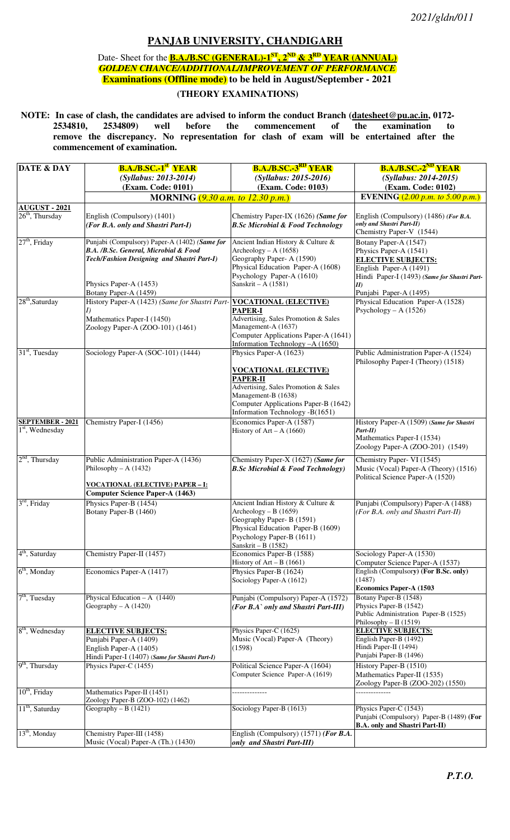## **PANJAB UNIVERSITY, CHANDIGARH**

Date- Sheet for the **B.A./B.SC** (GENERAL)-1<sup>ST</sup>, 2<sup>ND</sup> & 3<sup>RD</sup> YEAR (ANNUAL) *GOLDEN CHANCE/ADDITIONAL/IMPROVEMENT OF PERFORMANCE* **Examinations (Offline mode) to be held in August/September - 2021** 

## **(THEORY EXAMINATIONS)**

**NOTE:** In case of clash, the candidates are advised to inform the conduct Branch (datesheet@pu.ac.in, 0172-<br>2534810, 2534809) well before the commencement of the examination to  **2534810, 2534809) well before the commencement of the examination to remove the discrepancy. No representation for clash of exam will be entertained after the commencement of examination.** 

| <b>DATE &amp; DAY</b>       | <b>B.A./B.SC.-1<sup>st</sup> YEAR</b>                                    | <b>B.A./B.SC.-3<sup>RD</sup> YEAR</b>                                     | <b>B.A./B.SC.-2<sup>ND</sup> YEAR</b>                                  |
|-----------------------------|--------------------------------------------------------------------------|---------------------------------------------------------------------------|------------------------------------------------------------------------|
|                             | (Syllabus: 2013-2014)                                                    | (Syllabus: 2015-2016)                                                     | (Syllabus: 2014-2015)                                                  |
|                             | (Exam. Code: 0101)                                                       | (Exam. Code: 0103)                                                        | (Exam. Code: 0102)                                                     |
|                             | MORNING $(9.30 a.m. to 12.30 p.m.)$                                      |                                                                           | EVENING $(2.00 p.m. to 5.00 p.m.)$                                     |
| <b>AUGUST - 2021</b>        |                                                                          |                                                                           |                                                                        |
| $26th$ , Thursday           | English (Compulsory) (1401)                                              | Chemistry Paper-IX (1626) (Same for                                       | English (Compulsory) (1486) (For B.A.                                  |
|                             | (For B.A. only and Shastri Part-I)                                       | <b>B.Sc Microbial &amp; Food Technology</b>                               | only and Shastri Part-II)                                              |
|                             |                                                                          |                                                                           | Chemistry Paper-V (1544)                                               |
| $27th$ , Friday             | Punjabi (Compulsory) Paper-A (1402) (Same for                            | Ancient Indian History & Culture &                                        | Botany Paper-A (1547)                                                  |
|                             | B.A. /B.Sc. General, Microbial & Food                                    | Archeology – A $(1658)$<br>Geography Paper- A (1590)                      | Physics Paper-A (1541)                                                 |
|                             | Tech/Fashion Designing and Shastri Part-I)                               | Physical Education Paper-A (1608)                                         | <b>ELECTIVE SUBJECTS:</b>                                              |
|                             |                                                                          | Psychology Paper-A (1610)                                                 | English Paper-A (1491)<br>Hindi Paper-I (1493) (Same for Shastri Part- |
|                             | Physics Paper-A (1453)                                                   | Sanskrit – A $(1581)$                                                     | II)                                                                    |
|                             | Botany Paper-A (1459)                                                    |                                                                           | Punjabi Paper-A (1495)                                                 |
| 28 <sup>th</sup> ,Saturday  | History Paper-A (1423) (Same for Shastri Part-                           | <b>VOCATIONAL (ELECTIVE)</b>                                              | Physical Education Paper-A (1528)                                      |
|                             | I)                                                                       | <b>PAPER-I</b>                                                            | Psychology – A $(1526)$                                                |
|                             | Mathematics Paper-I (1450)                                               | Advertising, Sales Promotion & Sales                                      |                                                                        |
|                             | Zoology Paper-A (ZOO-101) (1461)                                         | Management-A (1637)                                                       |                                                                        |
|                             |                                                                          | Computer Applications Paper-A (1641)<br>Information Technology - A (1650) |                                                                        |
| $31st$ , Tuesday            | Sociology Paper-A (SOC-101) (1444)                                       | Physics Paper-A (1623)                                                    | Public Administration Paper-A (1524)                                   |
|                             |                                                                          |                                                                           | Philosophy Paper-I (Theory) (1518)                                     |
|                             |                                                                          | <b>VOCATIONAL (ELECTIVE)</b>                                              |                                                                        |
|                             |                                                                          | <b>PAPER-II</b>                                                           |                                                                        |
|                             |                                                                          | Advertising, Sales Promotion & Sales                                      |                                                                        |
|                             |                                                                          | Management-B (1638)                                                       |                                                                        |
|                             |                                                                          | Computer Applications Paper-B (1642)                                      |                                                                        |
| <b>SEPTEMBER - 2021</b>     |                                                                          | Information Technology -B(1651)                                           |                                                                        |
| $1st$ , Wednesday           | Chemistry Paper-I (1456)                                                 | Economics Paper-A (1587)<br>History of $Art - A$ (1660)                   | History Paper-A (1509) (Same for Shastri<br>Part-II)                   |
|                             |                                                                          |                                                                           | Mathematics Paper-I (1534)                                             |
|                             |                                                                          |                                                                           | Zoology Paper-A (ZOO-201) (1549)                                       |
| $2nd$ , Thursday            | Public Administration Paper-A (1436)                                     | Chemistry Paper-X (1627) (Same for                                        | Chemistry Paper- VI (1545)                                             |
|                             | Philosophy – A $(1432)$                                                  | <b>B.Sc Microbial &amp; Food Technology</b> )                             | Music (Vocal) Paper-A (Theory) (1516)                                  |
|                             |                                                                          |                                                                           | Political Science Paper-A (1520)                                       |
|                             | <b>VOCATIONAL (ELECTIVE) PAPER - I:</b>                                  |                                                                           |                                                                        |
|                             | <b>Computer Science Paper-A (1463)</b>                                   |                                                                           |                                                                        |
| $3rd$ , Friday              | Physics Paper-B (1454)                                                   | Ancient Indian History & Culture &                                        | Punjabi (Compulsory) Paper-A (1488)                                    |
|                             | Botany Paper-B (1460)                                                    | Archeology – B $(1659)$                                                   | (For B.A. only and Shastri Part-II)                                    |
|                             |                                                                          | Geography Paper- B (1591)<br>Physical Education Paper-B (1609)            |                                                                        |
|                             |                                                                          | Psychology Paper-B (1611)                                                 |                                                                        |
|                             |                                                                          | Sanskrit - B $(1582)$                                                     |                                                                        |
| 4 <sup>th</sup> , Saturday  | Chemistry Paper-II (1457)                                                | Economics Paper-B (1588)                                                  | Sociology Paper-A (1530)                                               |
|                             |                                                                          | History of $Art - B$ (1661)                                               | Computer Science Paper-A (1537)                                        |
| $6th$ , Monday              | Economics Paper-A (1417)                                                 | Physics Paper-B (1624)                                                    | English (Compulsory) (For B.Sc. only)                                  |
|                             |                                                                          | Sociology Paper-A (1612)                                                  | (1487)<br><b>Economics Paper-A (1503</b>                               |
| $7th$ , Tuesday             | Physical Education $- A (1440)$                                          | Punjabi (Compulsory) Paper-A (1572)                                       | Botany Paper-B (1548)                                                  |
|                             | Geography – A $(1420)$                                                   | (For B.A` only and Shastri Part-III)                                      | Physics Paper-B (1542)                                                 |
|                             |                                                                          |                                                                           | Public Administration Paper-B (1525)                                   |
|                             |                                                                          |                                                                           | Philosophy - II (1519)                                                 |
| 8 <sup>th</sup> , Wednesday | <b>ELECTIVE SUBJECTS:</b>                                                | Physics Paper-C (1625)                                                    | <b>ELECTIVE SUBJECTS:</b>                                              |
|                             | Punjabi Paper-A (1409)                                                   | Music (Vocal) Paper-A (Theory)                                            | English Paper-B (1492)                                                 |
|                             | English Paper-A (1405)                                                   | (1598)                                                                    | Hindi Paper-II (1494)<br>Punjabi Paper-B (1496)                        |
| 9 <sup>th</sup> , Thursday  | Hindi Paper-I (1407) (Same for Shastri Part-I)<br>Physics Paper-C (1455) | Political Science Paper-A (1604)                                          | History Paper-B (1510)                                                 |
|                             |                                                                          | Computer Science Paper-A (1619)                                           | Mathematics Paper-II (1535)                                            |
|                             |                                                                          |                                                                           | Zoology Paper-B (ZOO-202) (1550)                                       |
| $10th$ , Friday             | Mathematics Paper-II (1451)                                              |                                                                           |                                                                        |
|                             | Zoology Paper-B (ZOO-102) (1462)                                         |                                                                           |                                                                        |
| 11 <sup>th</sup> , Saturday | Geography – B $(1421)$                                                   | Sociology Paper-B (1613)                                                  | Physics Paper-C (1543)                                                 |
|                             |                                                                          |                                                                           | Punjabi (Compulsory) Paper-B (1489) (For                               |
| $13th$ , Monday             | Chemistry Paper-III (1458)                                               | English (Compulsory) (1571) (For B.A.                                     | <b>B.A.</b> only and Shastri Part-II)                                  |
|                             | Music (Vocal) Paper-A (Th.) (1430)                                       | only and Shastri Part-III)                                                |                                                                        |
|                             |                                                                          |                                                                           |                                                                        |